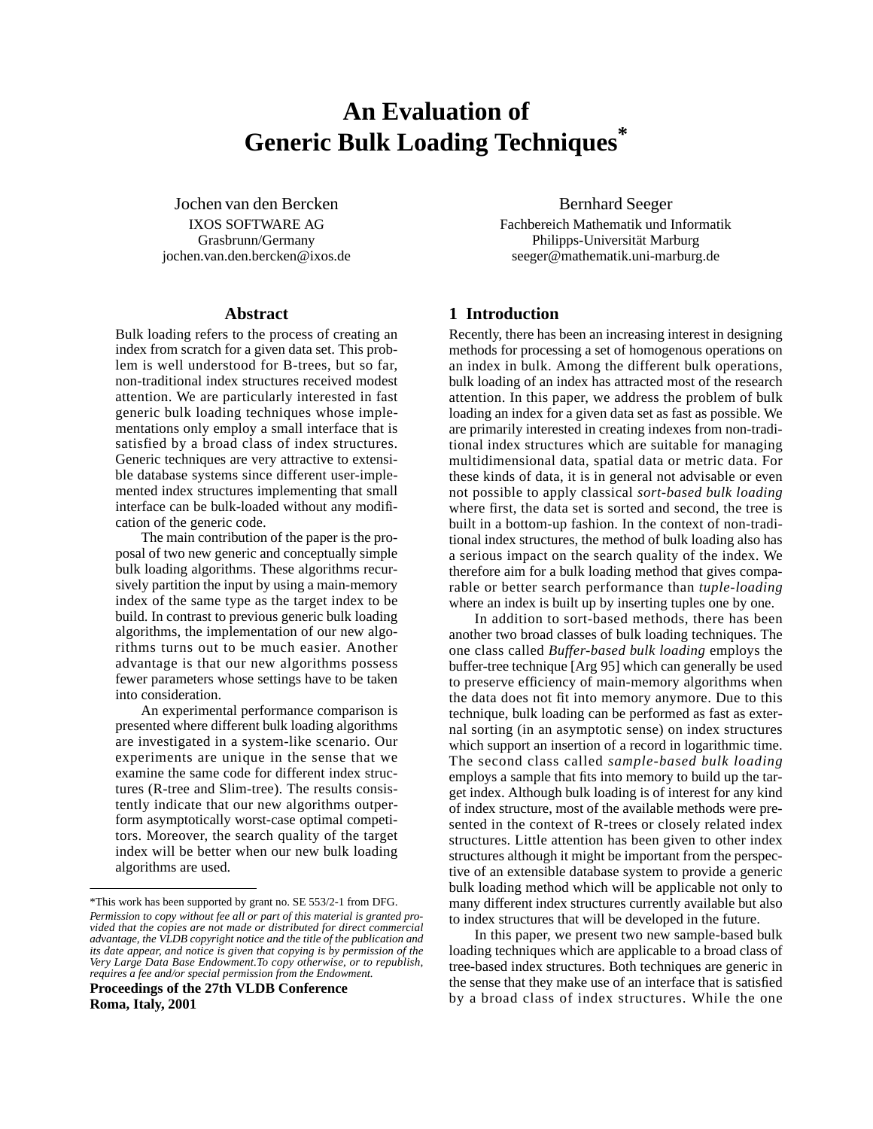# **An Evaluation of Generic Bulk Loading Techniques\***

Jochen van den Bercken IXOS SOFTWARE AG Grasbrunn/Germany jochen.van.den.bercken@ixos.de

## **Abstract**

Bulk loading refers to the process of creating an index from scratch for a given data set. This problem is well understood for B-trees, but so far, non-traditional index structures received modest attention. We are particularly interested in fast generic bulk loading techniques whose implementations only employ a small interface that is satisfied by a broad class of index structures. Generic techniques are very attractive to extensible database systems since different user-implemented index structures implementing that small interface can be bulk-loaded without any modification of the generic code.

The main contribution of the paper is the proposal of two new generic and conceptually simple bulk loading algorithms. These algorithms recursively partition the input by using a main-memory index of the same type as the target index to be build. In contrast to previous generic bulk loading algorithms, the implementation of our new algorithms turns out to be much easier. Another advantage is that our new algorithms possess fewer parameters whose settings have to be taken into consideration.

An experimental performance comparison is presented where different bulk loading algorithms are investigated in a system-like scenario. Our experiments are unique in the sense that we examine the same code for different index structures (R-tree and Slim-tree). The results consistently indicate that our new algorithms outperform asymptotically worst-case optimal competitors. Moreover, the search quality of the target index will be better when our new bulk loading algorithms are used.

**Proceedings of the 27th VLDB Conference Roma, Italy, 2001**

Bernhard Seeger Fachbereich Mathematik und Informatik Philipps-Universität Marburg seeger@mathematik.uni-marburg.de

## **1 Introduction**

Recently, there has been an increasing interest in designing methods for processing a set of homogenous operations on an index in bulk. Among the different bulk operations, bulk loading of an index has attracted most of the research attention. In this paper, we address the problem of bulk loading an index for a given data set as fast as possible. We are primarily interested in creating indexes from non-traditional index structures which are suitable for managing multidimensional data, spatial data or metric data. For these kinds of data, it is in general not advisable or even not possible to apply classical *sort-based bulk loading* where first, the data set is sorted and second, the tree is built in a bottom-up fashion. In the context of non-traditional index structures, the method of bulk loading also has a serious impact on the search quality of the index. We therefore aim for a bulk loading method that gives comparable or better search performance than *tuple-loading* where an index is built up by inserting tuples one by one.

In addition to sort-based methods, there has been another two broad classes of bulk loading techniques. The one class called *Buffer-based bulk loading* employs the buffer-tree technique [Arg 95] which can generally be used to preserve efficiency of main-memory algorithms when the data does not fit into memory anymore. Due to this technique, bulk loading can be performed as fast as external sorting (in an asymptotic sense) on index structures which support an insertion of a record in logarithmic time. The second class called *sample-based bulk loading* employs a sample that fits into memory to build up the target index. Although bulk loading is of interest for any kind of index structure, most of the available methods were presented in the context of R-trees or closely related index structures. Little attention has been given to other index structures although it might be important from the perspective of an extensible database system to provide a generic bulk loading method which will be applicable not only to many different index structures currently available but also to index structures that will be developed in the future.

In this paper, we present two new sample-based bulk loading techniques which are applicable to a broad class of tree-based index structures. Both techniques are generic in the sense that they make use of an interface that is satisfied by a broad class of index structures. While the one

<sup>\*</sup>This work has been supported by grant no. SE 553/2-1 from DFG.

*Permission to copy without fee all or part of this material is granted provided that the copies are not made or distributed for direct commercial advantage, the VLDB copyright notice and the title of the publication and its date appear, and notice is given that copying is by permission of the Very Large Data Base Endowment.To copy otherwise, or to republish, requires a fee and/or special permission from the Endowment.*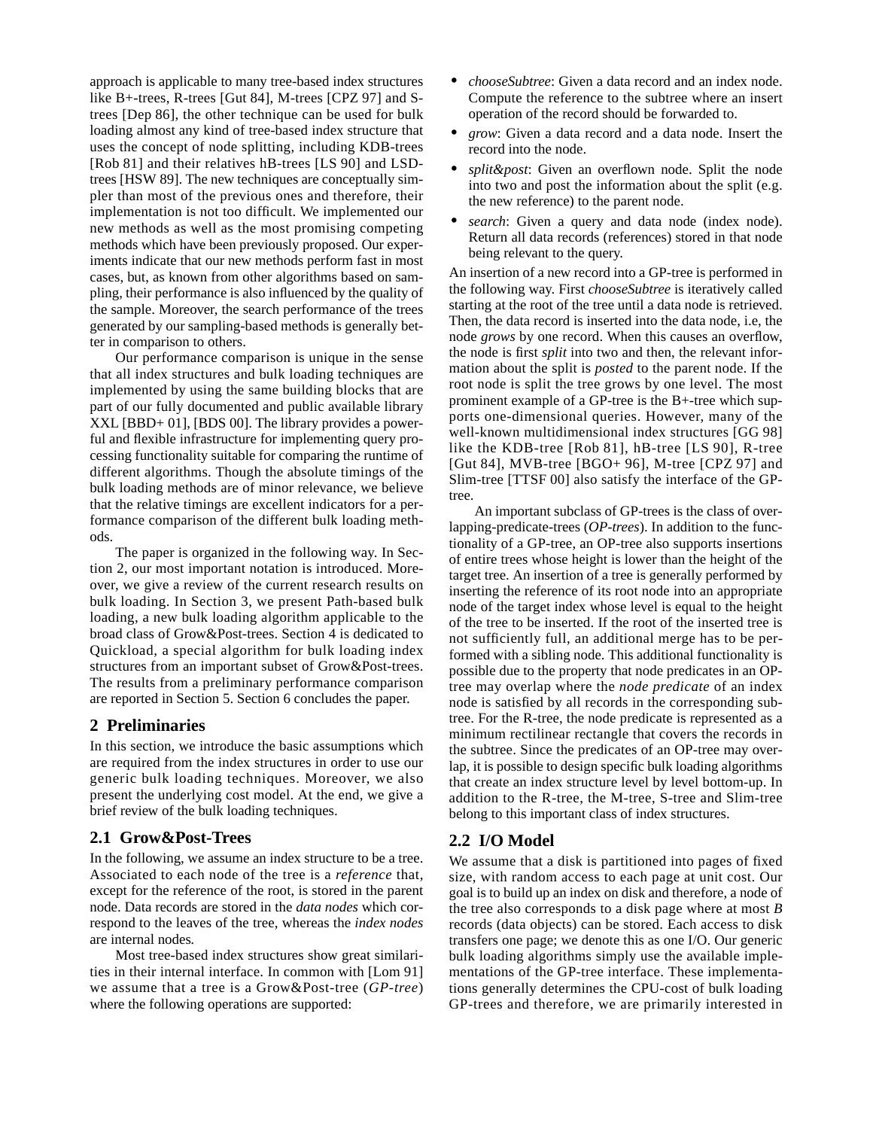approach is applicable to many tree-based index structures like B+-trees, R-trees [Gut 84], M-trees [CPZ 97] and Strees [Dep 86], the other technique can be used for bulk loading almost any kind of tree-based index structure that uses the concept of node splitting, including KDB-trees [Rob 81] and their relatives hB-trees [LS 90] and LSDtrees [HSW 89]. The new techniques are conceptually simpler than most of the previous ones and therefore, their implementation is not too difficult. We implemented our new methods as well as the most promising competing methods which have been previously proposed. Our experiments indicate that our new methods perform fast in most cases, but, as known from other algorithms based on sampling, their performance is also influenced by the quality of the sample. Moreover, the search performance of the trees generated by our sampling-based methods is generally better in comparison to others.

Our performance comparison is unique in the sense that all index structures and bulk loading techniques are implemented by using the same building blocks that are part of our fully documented and public available library XXL [BBD+ 01], [BDS 00]. The library provides a powerful and flexible infrastructure for implementing query processing functionality suitable for comparing the runtime of different algorithms. Though the absolute timings of the bulk loading methods are of minor relevance, we believe that the relative timings are excellent indicators for a performance comparison of the different bulk loading methods.

The paper is organized in the following way. In Section 2, our most important notation is introduced. Moreover, we give a review of the current research results on bulk loading. In Section 3, we present Path-based bulk loading, a new bulk loading algorithm applicable to the broad class of Grow&Post-trees. Section 4 is dedicated to Quickload, a special algorithm for bulk loading index structures from an important subset of Grow&Post-trees. The results from a preliminary performance comparison are reported in Section 5. Section 6 concludes the paper.

## **2 Preliminaries**

In this section, we introduce the basic assumptions which are required from the index structures in order to use our generic bulk loading techniques. Moreover, we also present the underlying cost model. At the end, we give a brief review of the bulk loading techniques.

## **2.1 Grow&Post-Trees**

In the following, we assume an index structure to be a tree. Associated to each node of the tree is a *reference* that, except for the reference of the root, is stored in the parent node. Data records are stored in the *data nodes* which correspond to the leaves of the tree, whereas the *index nodes* are internal nodes*.*

Most tree-based index structures show great similarities in their internal interface. In common with [Lom 91] we assume that a tree is a Grow&Post-tree (*GP-tree*) where the following operations are supported:

- **•** *chooseSubtree*: Given a data record and an index node. Compute the reference to the subtree where an insert operation of the record should be forwarded to.
- **•** *grow*: Given a data record and a data node. Insert the record into the node.
- **•** *split&post*: Given an overflown node. Split the node into two and post the information about the split (e.g. the new reference) to the parent node.
- *search*: Given a query and data node (index node). Return all data records (references) stored in that node being relevant to the query.

An insertion of a new record into a GP-tree is performed in the following way. First *chooseSubtree* is iteratively called starting at the root of the tree until a data node is retrieved. Then, the data record is inserted into the data node, i.e, the node *grows* by one record. When this causes an overflow, the node is first *split* into two and then, the relevant information about the split is *posted* to the parent node. If the root node is split the tree grows by one level. The most prominent example of a GP-tree is the B+-tree which supports one-dimensional queries. However, many of the well-known multidimensional index structures [GG 98] like the KDB-tree [Rob 81], hB-tree [LS 90], R-tree [Gut 84], MVB-tree [BGO+ 96], M-tree [CPZ 97] and Slim-tree [TTSF 00] also satisfy the interface of the GPtree.

An important subclass of GP-trees is the class of overlapping-predicate-trees (*OP-trees*). In addition to the functionality of a GP-tree, an OP-tree also supports insertions of entire trees whose height is lower than the height of the target tree. An insertion of a tree is generally performed by inserting the reference of its root node into an appropriate node of the target index whose level is equal to the height of the tree to be inserted. If the root of the inserted tree is not sufficiently full, an additional merge has to be performed with a sibling node. This additional functionality is possible due to the property that node predicates in an OPtree may overlap where the *node predicate* of an index node is satisfied by all records in the corresponding subtree. For the R-tree, the node predicate is represented as a minimum rectilinear rectangle that covers the records in the subtree. Since the predicates of an OP-tree may overlap, it is possible to design specific bulk loading algorithms that create an index structure level by level bottom-up. In addition to the R-tree, the M-tree, S-tree and Slim-tree belong to this important class of index structures.

## **2.2 I/O Model**

We assume that a disk is partitioned into pages of fixed size, with random access to each page at unit cost. Our goal is to build up an index on disk and therefore, a node of the tree also corresponds to a disk page where at most *B* records (data objects) can be stored. Each access to disk transfers one page; we denote this as one I/O. Our generic bulk loading algorithms simply use the available implementations of the GP-tree interface. These implementations generally determines the CPU-cost of bulk loading GP-trees and therefore, we are primarily interested in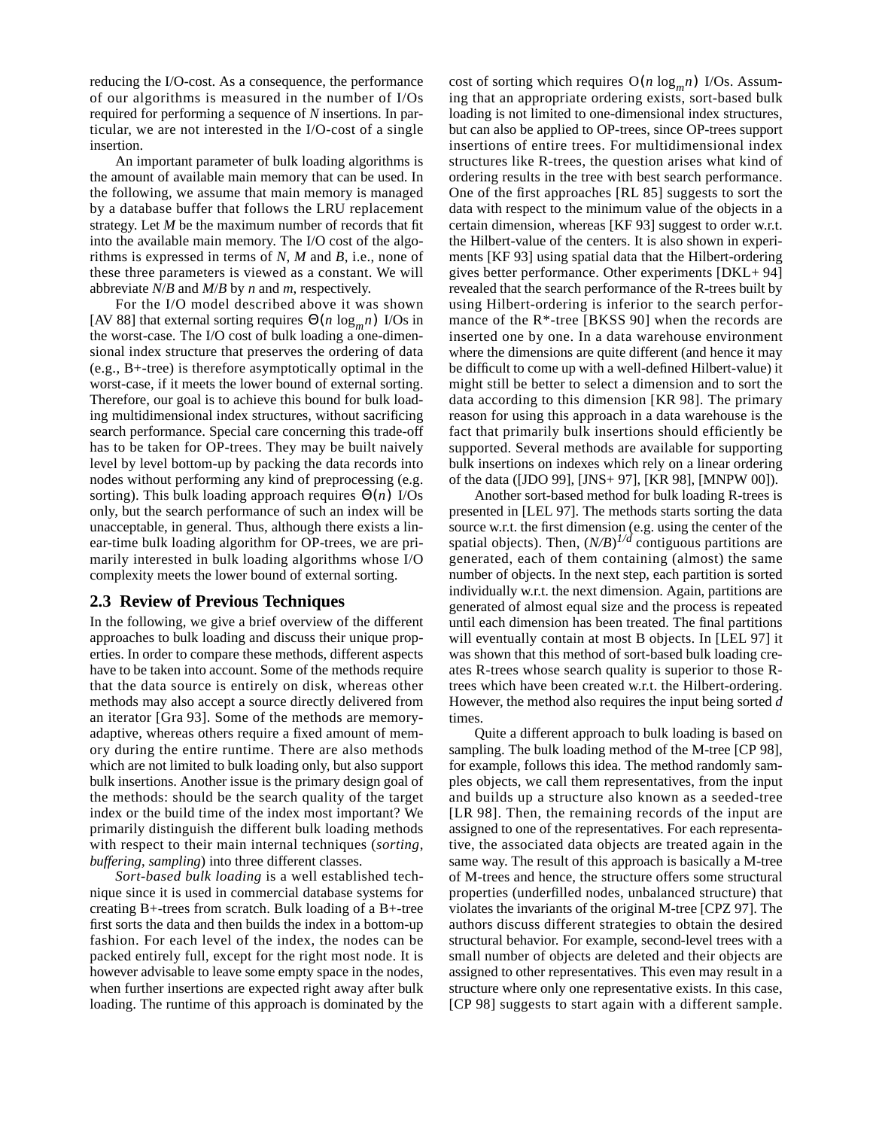reducing the I/O-cost. As a consequence, the performance of our algorithms is measured in the number of I/Os required for performing a sequence of *N* insertions. In particular, we are not interested in the I/O-cost of a single insertion.

An important parameter of bulk loading algorithms is the amount of available main memory that can be used. In the following, we assume that main memory is managed by a database buffer that follows the LRU replacement strategy. Let *M* be the maximum number of records that fit into the available main memory. The I/O cost of the algorithms is expressed in terms of *N*, *M* and *B*, i.e., none of these three parameters is viewed as a constant. We will abbreviate *N*/*B* and *M*/*B* by *n* and *m*, respectively.

For the I/O model described above it was shown [AV 88] that external sorting requires  $\Theta(n \log_m n)$  I/Os in the worst-case. The I/O cost of bulk loading a one-dimensional index structure that preserves the ordering of data (e.g., B+-tree) is therefore asymptotically optimal in the worst-case, if it meets the lower bound of external sorting. Therefore, our goal is to achieve this bound for bulk loading multidimensional index structures, without sacrificing search performance. Special care concerning this trade-off has to be taken for OP-trees. They may be built naively level by level bottom-up by packing the data records into nodes without performing any kind of preprocessing (e.g. sorting). This bulk loading approach requires  $\Theta(n)$  I/Os only, but the search performance of such an index will be unacceptable, in general. Thus, although there exists a linear-time bulk loading algorithm for OP-trees, we are primarily interested in bulk loading algorithms whose I/O complexity meets the lower bound of external sorting.

## **2.3 Review of Previous Techniques**

In the following, we give a brief overview of the different approaches to bulk loading and discuss their unique properties. In order to compare these methods, different aspects have to be taken into account. Some of the methods require that the data source is entirely on disk, whereas other methods may also accept a source directly delivered from an iterator [Gra 93]. Some of the methods are memoryadaptive, whereas others require a fixed amount of memory during the entire runtime. There are also methods which are not limited to bulk loading only, but also support bulk insertions. Another issue is the primary design goal of the methods: should be the search quality of the target index or the build time of the index most important? We primarily distinguish the different bulk loading methods with respect to their main internal techniques (*sorting*, *buffering*, *sampling*) into three different classes.

*Sort-based bulk loading* is a well established technique since it is used in commercial database systems for creating B+-trees from scratch. Bulk loading of a B+-tree first sorts the data and then builds the index in a bottom-up fashion. For each level of the index, the nodes can be packed entirely full, except for the right most node. It is however advisable to leave some empty space in the nodes, when further insertions are expected right away after bulk loading. The runtime of this approach is dominated by the

cost of sorting which requires  $O(n \log_m n)$  I/Os. Assuming that an appropriate ordering exists, sort-based bulk loading is not limited to one-dimensional index structures, but can also be applied to OP-trees, since OP-trees support insertions of entire trees. For multidimensional index structures like R-trees, the question arises what kind of ordering results in the tree with best search performance. One of the first approaches [RL 85] suggests to sort the data with respect to the minimum value of the objects in a certain dimension, whereas [KF 93] suggest to order w.r.t. the Hilbert-value of the centers. It is also shown in experiments [KF 93] using spatial data that the Hilbert-ordering gives better performance. Other experiments [DKL+ 94] revealed that the search performance of the R-trees built by using Hilbert-ordering is inferior to the search performance of the R\*-tree [BKSS 90] when the records are inserted one by one. In a data warehouse environment where the dimensions are quite different (and hence it may be difficult to come up with a well-defined Hilbert-value) it might still be better to select a dimension and to sort the data according to this dimension [KR 98]. The primary reason for using this approach in a data warehouse is the fact that primarily bulk insertions should efficiently be supported. Several methods are available for supporting bulk insertions on indexes which rely on a linear ordering of the data ([JDO 99], [JNS+ 97], [KR 98], [MNPW 00]).

Another sort-based method for bulk loading R-trees is presented in [LEL 97]. The methods starts sorting the data source w.r.t. the first dimension (e.g. using the center of the spatial objects). Then,  $(N/B)^{1/d}$  contiguous partitions are generated, each of them containing (almost) the same number of objects. In the next step, each partition is sorted individually w.r.t. the next dimension. Again, partitions are generated of almost equal size and the process is repeated until each dimension has been treated. The final partitions will eventually contain at most B objects. In [LEL 97] it was shown that this method of sort-based bulk loading creates R-trees whose search quality is superior to those Rtrees which have been created w.r.t. the Hilbert-ordering. However, the method also requires the input being sorted *d* times.

Quite a different approach to bulk loading is based on sampling. The bulk loading method of the M-tree [CP 98], for example, follows this idea. The method randomly samples objects, we call them representatives, from the input and builds up a structure also known as a seeded-tree [LR 98]. Then, the remaining records of the input are assigned to one of the representatives. For each representative, the associated data objects are treated again in the same way. The result of this approach is basically a M-tree of M-trees and hence, the structure offers some structural properties (underfilled nodes, unbalanced structure) that violates the invariants of the original M-tree [CPZ 97]. The authors discuss different strategies to obtain the desired structural behavior. For example, second-level trees with a small number of objects are deleted and their objects are assigned to other representatives. This even may result in a structure where only one representative exists. In this case, [CP 98] suggests to start again with a different sample.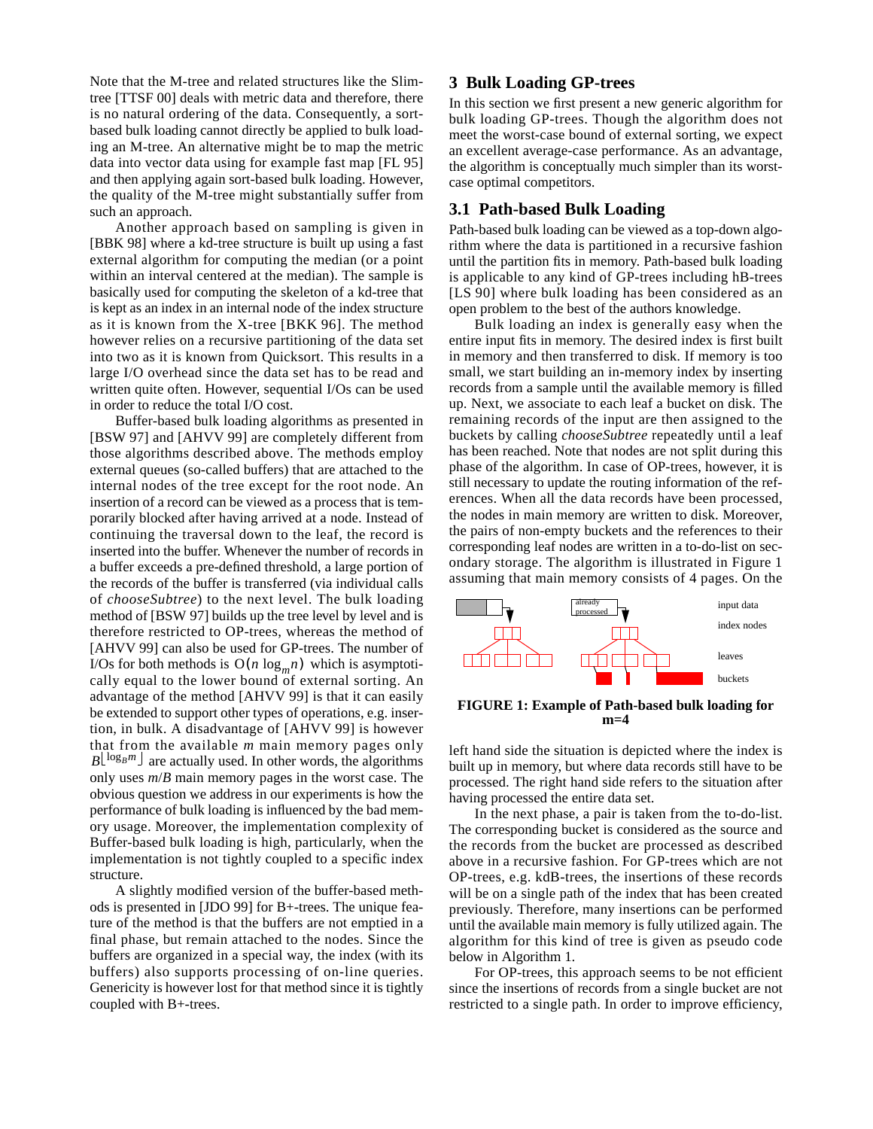Note that the M-tree and related structures like the Slimtree [TTSF 00] deals with metric data and therefore, there is no natural ordering of the data. Consequently, a sortbased bulk loading cannot directly be applied to bulk loading an M-tree. An alternative might be to map the metric data into vector data using for example fast map [FL 95] and then applying again sort-based bulk loading. However, the quality of the M-tree might substantially suffer from such an approach.

Another approach based on sampling is given in [BBK 98] where a kd-tree structure is built up using a fast external algorithm for computing the median (or a point within an interval centered at the median). The sample is basically used for computing the skeleton of a kd-tree that is kept as an index in an internal node of the index structure as it is known from the X-tree [BKK 96]. The method however relies on a recursive partitioning of the data set into two as it is known from Quicksort. This results in a large I/O overhead since the data set has to be read and written quite often. However, sequential I/Os can be used in order to reduce the total I/O cost.

Buffer-based bulk loading algorithms as presented in [BSW 97] and [AHVV 99] are completely different from those algorithms described above. The methods employ external queues (so-called buffers) that are attached to the internal nodes of the tree except for the root node. An insertion of a record can be viewed as a process that is temporarily blocked after having arrived at a node. Instead of continuing the traversal down to the leaf, the record is inserted into the buffer. Whenever the number of records in a buffer exceeds a pre-defined threshold, a large portion of the records of the buffer is transferred (via individual calls of *chooseSubtree*) to the next level. The bulk loading method of [BSW 97] builds up the tree level by level and is therefore restricted to OP-trees, whereas the method of [AHVV 99] can also be used for GP-trees. The number of I/Os for both methods is  $O(n \log_m n)$  which is asymptotically equal to the lower bound of external sorting. An advantage of the method [AHVV 99] is that it can easily be extended to support other types of operations, e.g. insertion, in bulk. A disadvantage of [AHVV 99] is however that from the available *m* main memory pages only  $B^{\lfloor \log_B m \rfloor}$  are actually used. In other words, the algorithms only uses *m*/*B* main memory pages in the worst case. The obvious question we address in our experiments is how the performance of bulk loading is influenced by the bad memory usage. Moreover, the implementation complexity of Buffer-based bulk loading is high, particularly, when the implementation is not tightly coupled to a specific index structure.

A slightly modified version of the buffer-based methods is presented in [JDO 99] for B+-trees. The unique feature of the method is that the buffers are not emptied in a final phase, but remain attached to the nodes. Since the buffers are organized in a special way, the index (with its buffers) also supports processing of on-line queries. Genericity is however lost for that method since it is tightly coupled with B+-trees.

#### **3 Bulk Loading GP-trees**

In this section we first present a new generic algorithm for bulk loading GP-trees. Though the algorithm does not meet the worst-case bound of external sorting, we expect an excellent average-case performance. As an advantage, the algorithm is conceptually much simpler than its worstcase optimal competitors.

## **3.1 Path-based Bulk Loading**

Path-based bulk loading can be viewed as a top-down algorithm where the data is partitioned in a recursive fashion until the partition fits in memory. Path-based bulk loading is applicable to any kind of GP-trees including hB-trees [LS 90] where bulk loading has been considered as an open problem to the best of the authors knowledge.

Bulk loading an index is generally easy when the entire input fits in memory. The desired index is first built in memory and then transferred to disk. If memory is too small, we start building an in-memory index by inserting records from a sample until the available memory is filled up. Next, we associate to each leaf a bucket on disk. The remaining records of the input are then assigned to the buckets by calling *chooseSubtree* repeatedly until a leaf has been reached. Note that nodes are not split during this phase of the algorithm. In case of OP-trees, however, it is still necessary to update the routing information of the references. When all the data records have been processed, the nodes in main memory are written to disk. Moreover, the pairs of non-empty buckets and the references to their corresponding leaf nodes are written in a to-do-list on secondary storage. The algorithm is illustrated in Figure 1 assuming that main memory consists of 4 pages. On the



**FIGURE 1: Example of Path-based bulk loading for m=4**

left hand side the situation is depicted where the index is built up in memory, but where data records still have to be processed. The right hand side refers to the situation after having processed the entire data set.

In the next phase, a pair is taken from the to-do-list. The corresponding bucket is considered as the source and the records from the bucket are processed as described above in a recursive fashion. For GP-trees which are not OP-trees, e.g. kdB-trees, the insertions of these records will be on a single path of the index that has been created previously. Therefore, many insertions can be performed until the available main memory is fully utilized again. The algorithm for this kind of tree is given as pseudo code below in Algorithm 1.

For OP-trees, this approach seems to be not efficient since the insertions of records from a single bucket are not restricted to a single path. In order to improve efficiency,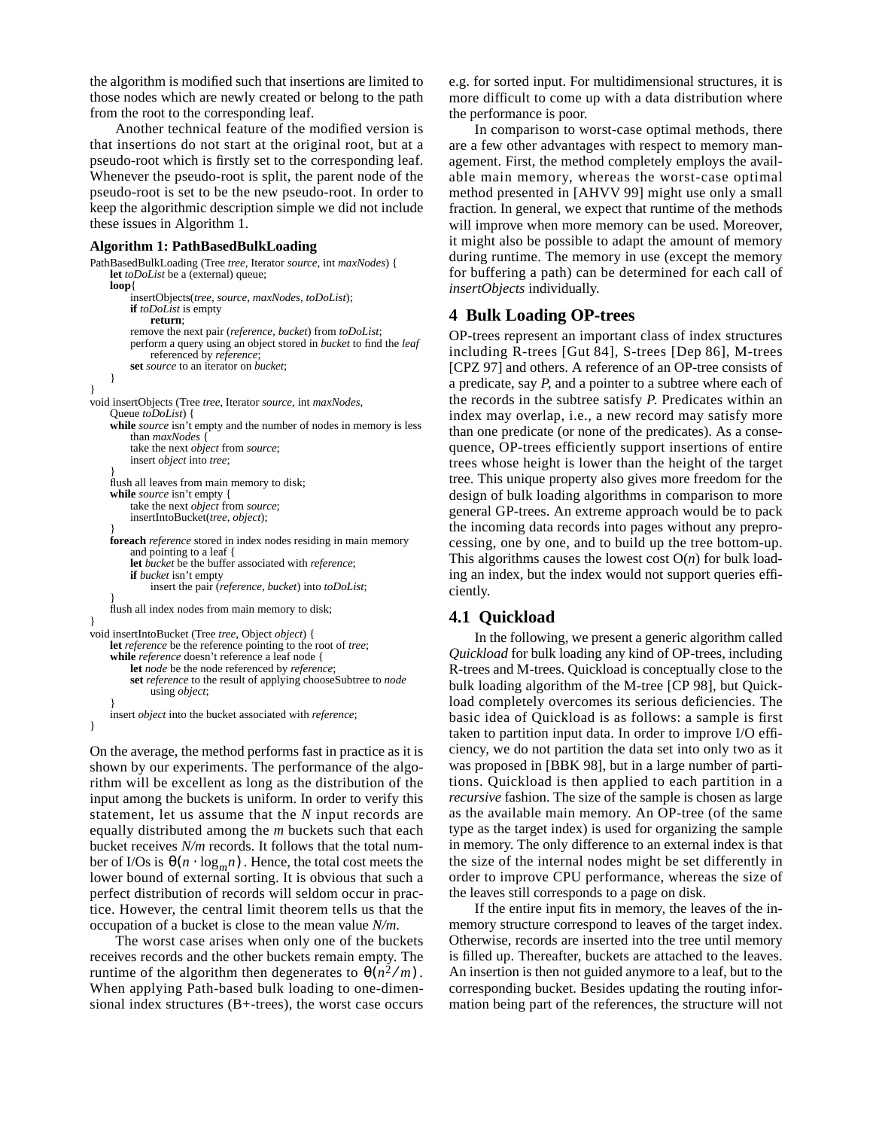the algorithm is modified such that insertions are limited to those nodes which are newly created or belong to the path from the root to the corresponding leaf.

Another technical feature of the modified version is that insertions do not start at the original root, but at a pseudo-root which is firstly set to the corresponding leaf. Whenever the pseudo-root is split, the parent node of the pseudo-root is set to be the new pseudo-root. In order to keep the algorithmic description simple we did not include these issues in Algorithm 1.

#### **Algorithm 1: PathBasedBulkLoading**

```
PathBasedBulkLoading (Tree tree, Iterator source, int maxNodes) {
    let toDoList be a (external) queue;
    loop{
         insertObjects(tree, source, maxNodes, toDoList);
         if toDoList is empty
             return;
         remove the next pair (reference, bucket) from toDoList;
         perform a query using an object stored in bucket to find the leaf
             referenced by reference;
         set source to an iterator on bucket;
    }
}
void insertObjects (Tree tree, Iterator source, int maxNodes,
    Queue toDoList) {
    while source isn't empty and the number of nodes in memory is less
        than maxNodes {
         take the next object from source;
         insert object into tree;
     }
     flush all leaves from main memory to disk;
    while source isn't empty {
         take the next object from source;
         insertIntoBucket(tree, object);
     }
    foreach reference stored in index nodes residing in main memory
         and pointing to a leaf {
         let bucket be the buffer associated with reference;
         if bucket isn't empty
             insert the pair (reference, bucket) into toDoList;
     }
     flush all index nodes from main memory to disk;
}
void insertIntoBucket (Tree tree, Object object) {
    let reference be the reference pointing to the root of tree;
    while reference doesn't reference a leaf node {
         let node be the node referenced by reference;
         set reference to the result of applying chooseSubtree to node
             using object;
     }
    insert object into the bucket associated with reference;
}
```
On the average, the method performs fast in practice as it is shown by our experiments. The performance of the algorithm will be excellent as long as the distribution of the input among the buckets is uniform. In order to verify this statement, let us assume that the *N* input records are equally distributed among the *m* buckets such that each bucket receives *N/m* records. It follows that the total number of I/Os is  $\theta(n \cdot \log_m n)$ . Hence, the total cost meets the lower bound of external sorting. It is obvious that such a perfect distribution of records will seldom occur in practice. However, the central limit theorem tells us that the occupation of a bucket is close to the mean value *N/m*.

The worst case arises when only one of the buckets receives records and the other buckets remain empty. The runtime of the algorithm then degenerates to  $\theta(n^2/m)$ . When applying Path-based bulk loading to one-dimensional index structures (B+-trees), the worst case occurs e.g. for sorted input. For multidimensional structures, it is more difficult to come up with a data distribution where the performance is poor.

In comparison to worst-case optimal methods, there are a few other advantages with respect to memory management. First, the method completely employs the available main memory, whereas the worst-case optimal method presented in [AHVV 99] might use only a small fraction. In general, we expect that runtime of the methods will improve when more memory can be used. Moreover, it might also be possible to adapt the amount of memory during runtime. The memory in use (except the memory for buffering a path) can be determined for each call of *insertObjects* individually.

## **4 Bulk Loading OP-trees**

OP-trees represent an important class of index structures including R-trees [Gut 84], S-trees [Dep 86], M-trees [CPZ 97] and others. A reference of an OP-tree consists of a predicate, say *P*, and a pointer to a subtree where each of the records in the subtree satisfy *P*. Predicates within an index may overlap, i.e., a new record may satisfy more than one predicate (or none of the predicates). As a consequence, OP-trees efficiently support insertions of entire trees whose height is lower than the height of the target tree. This unique property also gives more freedom for the design of bulk loading algorithms in comparison to more general GP-trees. An extreme approach would be to pack the incoming data records into pages without any preprocessing, one by one, and to build up the tree bottom-up. This algorithms causes the lowest cost O(*n*) for bulk loading an index, but the index would not support queries efficiently.

## **4.1 Quickload**

In the following, we present a generic algorithm called *Quickload* for bulk loading any kind of OP-trees, including R-trees and M-trees. Quickload is conceptually close to the bulk loading algorithm of the M-tree [CP 98], but Quickload completely overcomes its serious deficiencies. The basic idea of Quickload is as follows: a sample is first taken to partition input data. In order to improve I/O efficiency, we do not partition the data set into only two as it was proposed in [BBK 98], but in a large number of partitions. Quickload is then applied to each partition in a *recursive* fashion. The size of the sample is chosen as large as the available main memory. An OP-tree (of the same type as the target index) is used for organizing the sample in memory. The only difference to an external index is that the size of the internal nodes might be set differently in order to improve CPU performance, whereas the size of the leaves still corresponds to a page on disk.

If the entire input fits in memory, the leaves of the inmemory structure correspond to leaves of the target index. Otherwise, records are inserted into the tree until memory is filled up. Thereafter, buckets are attached to the leaves. An insertion is then not guided anymore to a leaf, but to the corresponding bucket. Besides updating the routing information being part of the references, the structure will not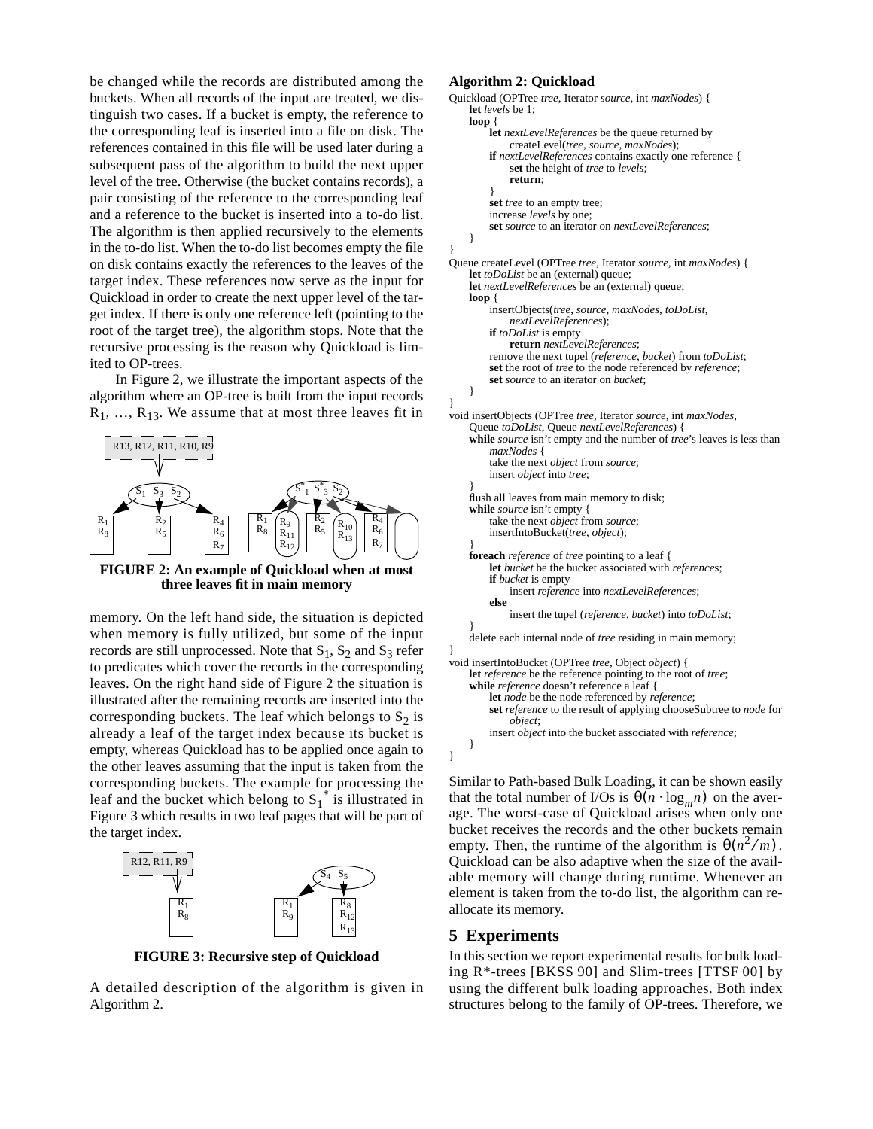be changed while the records are distributed among the buckets. When all records of the input are treated, we distinguish two cases. If a bucket is empty, the reference to the corresponding leaf is inserted into a file on disk. The references contained in this file will be used later during a subsequent pass of the algorithm to build the next upper level of the tree. Otherwise (the bucket contains records), a pair consisting of the reference to the corresponding leaf and a reference to the bucket is inserted into a to-do list. The algorithm is then applied recursively to the elements in the to-do list. When the to-do list becomes empty the file on disk contains exactly the references to the leaves of the target index. These references now serve as the input for Quickload in order to create the next upper level of the target index. If there is only one reference left (pointing to the root of the target tree), the algorithm stops. Note that the recursive processing is the reason why Quickload is limited to OP-trees.

In Figure 2, we illustrate the important aspects of the algorithm where an OP-tree is built from the input records  $R_1, \ldots, R_{13}$ . We assume that at most three leaves fit in



**FIGURE 2: An example of Quickload when at most three leaves fit in main memory**

memory. On the left hand side, the situation is depicted when memory is fully utilized, but some of the input records are still unprocessed. Note that  $S_1$ ,  $S_2$  and  $S_3$  refer to predicates which cover the records in the corresponding leaves. On the right hand side of Figure 2 the situation is illustrated after the remaining records are inserted into the corresponding buckets. The leaf which belongs to  $S_2$  is already a leaf of the target index because its bucket is empty, whereas Quickload has to be applied once again to the other leaves assuming that the input is taken from the corresponding buckets. The example for processing the leaf and the bucket which belong to  $S_1^*$  is illustrated in Figure 3 which results in two leaf pages that will be part of the target index.



**FIGURE 3: Recursive step of Quickload**

A detailed description of the algorithm is given in Algorithm 2.

#### **Algorithm 2: Quickload**

```
Quickload (OPTree tree, Iterator source, int maxNodes) {
    let levels be 1;
    loop {
         let nextLevelReferences be the queue returned by
             createLevel(tree, source, maxNodes);
         if nextLevelReferences contains exactly one reference {
             set the height of tree to levels;
             return;
         }
         set tree to an empty tree;
         increase levels by one;
         set source to an iterator on nextLevelReferences;
    }
}
Queue createLevel (OPTree tree, Iterator source, int maxNodes) {
    let toDoList be an (external) queue;
    let nextLevelReferences be an (external) queue;
    loop {
         insertObjects(tree, source, maxNodes, toDoList,
             nextLevelReferences);
         if toDoList is empty
             return nextLevelReferences;
         remove the next tupel (reference, bucket) from toDoList;
         set the root of tree to the node referenced by reference;
         set source to an iterator on bucket;
    }
}
void insertObjects (OPTree tree, Iterator source, int maxNodes,
    Queue toDoList, Queue nextLevelReferences) {
    while source isn't empty and the number of tree's leaves is less than
         maxNodes {
         take the next object from source;
         insert object into tree;
     }
     flush all leaves from main memory to disk;
    while source isn't empty {
         take the next object from source;
         insertIntoBucket(tree, object);
     }
    foreach reference of tree pointing to a leaf {
         let bucket be the bucket associated with references;
         if bucket is empty
             insert reference into nextLevelReferences;
         else
             insert the tupel (reference, bucket) into toDoList;
     }
    delete each internal node of tree residing in main memory;
}
void insertIntoBucket (OPTree tree, Object object) {
    let reference be the reference pointing to the root of tree;
    while reference doesn't reference a leaf {
         let node be the node referenced by reference;
         set reference to the result of applying chooseSubtree to node for
             object;
         insert object into the bucket associated with reference;
    }
```
Similar to Path-based Bulk Loading, it can be shown easily that the total number of  $I/Os$  is  $\theta(n \cdot \log_m n)$  on the average. The worst-case of Quickload arises when only one bucket receives the records and the other buckets remain empty. Then, the runtime of the algorithm is  $\theta(n^2/m)$ . Quickload can be also adaptive when the size of the available memory will change during runtime. Whenever an element is taken from the to-do list, the algorithm can reallocate its memory.

#### **5 Experiments**

}

In this section we report experimental results for bulk loading R\*-trees [BKSS 90] and Slim-trees [TTSF 00] by using the different bulk loading approaches. Both index structures belong to the family of OP-trees. Therefore, we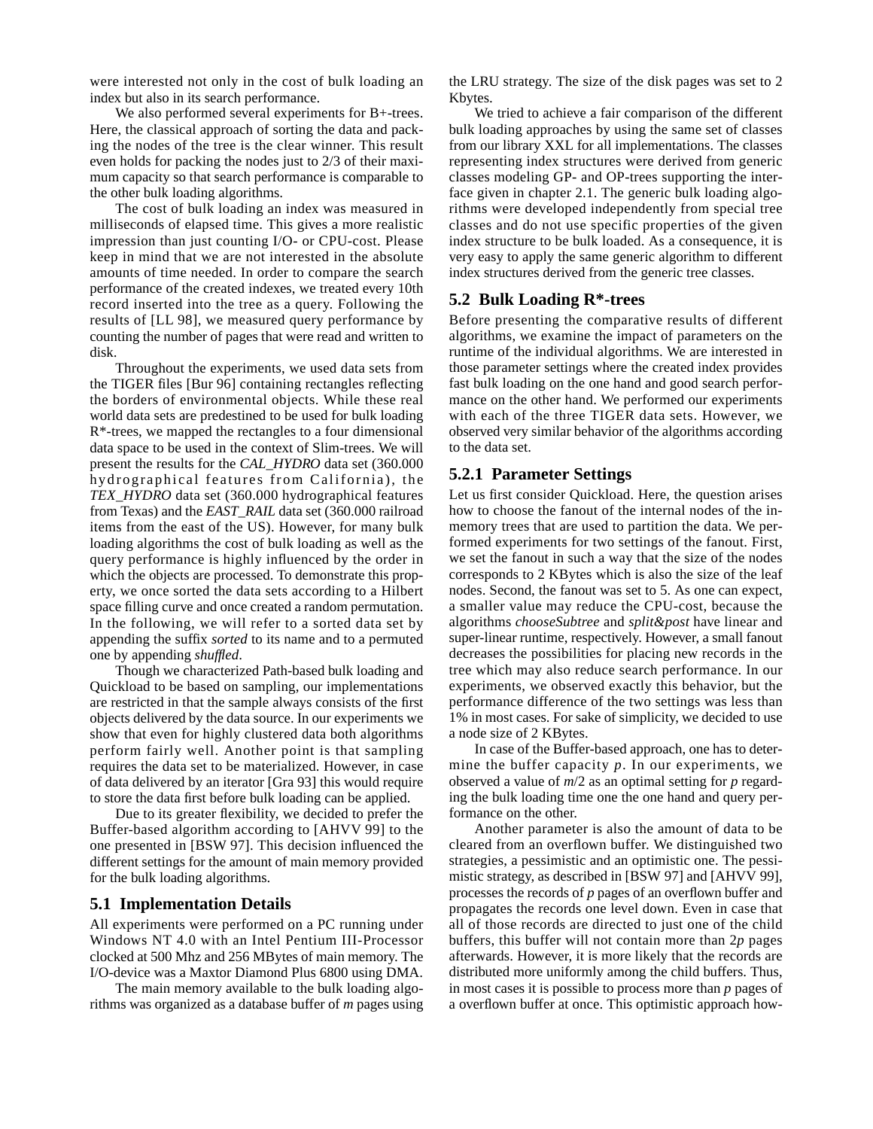were interested not only in the cost of bulk loading an index but also in its search performance.

We also performed several experiments for B+-trees. Here, the classical approach of sorting the data and packing the nodes of the tree is the clear winner. This result even holds for packing the nodes just to 2/3 of their maximum capacity so that search performance is comparable to the other bulk loading algorithms.

The cost of bulk loading an index was measured in milliseconds of elapsed time. This gives a more realistic impression than just counting I/O- or CPU-cost. Please keep in mind that we are not interested in the absolute amounts of time needed. In order to compare the search performance of the created indexes, we treated every 10th record inserted into the tree as a query. Following the results of [LL 98], we measured query performance by counting the number of pages that were read and written to disk.

Throughout the experiments, we used data sets from the TIGER files [Bur 96] containing rectangles reflecting the borders of environmental objects. While these real world data sets are predestined to be used for bulk loading R\*-trees, we mapped the rectangles to a four dimensional data space to be used in the context of Slim-trees. We will present the results for the *CAL\_HYDRO* data set (360.000 hydrographical features from California), the *TEX\_HYDRO* data set (360.000 hydrographical features from Texas) and the *EAST\_RAIL* data set (360.000 railroad items from the east of the US). However, for many bulk loading algorithms the cost of bulk loading as well as the query performance is highly influenced by the order in which the objects are processed. To demonstrate this property, we once sorted the data sets according to a Hilbert space filling curve and once created a random permutation. In the following, we will refer to a sorted data set by appending the suffix *sorted* to its name and to a permuted one by appending *shuffled*.

Though we characterized Path-based bulk loading and Quickload to be based on sampling, our implementations are restricted in that the sample always consists of the first objects delivered by the data source. In our experiments we show that even for highly clustered data both algorithms perform fairly well. Another point is that sampling requires the data set to be materialized. However, in case of data delivered by an iterator [Gra 93] this would require to store the data first before bulk loading can be applied.

Due to its greater flexibility, we decided to prefer the Buffer-based algorithm according to [AHVV 99] to the one presented in [BSW 97]. This decision influenced the different settings for the amount of main memory provided for the bulk loading algorithms.

#### **5.1 Implementation Details**

All experiments were performed on a PC running under Windows NT 4.0 with an Intel Pentium III-Processor clocked at 500 Mhz and 256 MBytes of main memory. The I/O-device was a Maxtor Diamond Plus 6800 using DMA.

The main memory available to the bulk loading algorithms was organized as a database buffer of *m* pages using the LRU strategy. The size of the disk pages was set to 2 Kbytes.

We tried to achieve a fair comparison of the different bulk loading approaches by using the same set of classes from our library XXL for all implementations. The classes representing index structures were derived from generic classes modeling GP- and OP-trees supporting the interface given in chapter 2.1. The generic bulk loading algorithms were developed independently from special tree classes and do not use specific properties of the given index structure to be bulk loaded. As a consequence, it is very easy to apply the same generic algorithm to different index structures derived from the generic tree classes.

#### **5.2 Bulk Loading R\*-trees**

Before presenting the comparative results of different algorithms, we examine the impact of parameters on the runtime of the individual algorithms. We are interested in those parameter settings where the created index provides fast bulk loading on the one hand and good search performance on the other hand. We performed our experiments with each of the three TIGER data sets. However, we observed very similar behavior of the algorithms according to the data set.

#### **5.2.1 Parameter Settings**

Let us first consider Quickload. Here, the question arises how to choose the fanout of the internal nodes of the inmemory trees that are used to partition the data. We performed experiments for two settings of the fanout. First, we set the fanout in such a way that the size of the nodes corresponds to 2 KBytes which is also the size of the leaf nodes. Second, the fanout was set to 5. As one can expect, a smaller value may reduce the CPU-cost, because the algorithms *chooseSubtree* and *split&post* have linear and super-linear runtime, respectively. However, a small fanout decreases the possibilities for placing new records in the tree which may also reduce search performance. In our experiments, we observed exactly this behavior, but the performance difference of the two settings was less than 1% in most cases. For sake of simplicity, we decided to use a node size of 2 KBytes.

In case of the Buffer-based approach, one has to determine the buffer capacity *p*. In our experiments, we observed a value of *m*/2 as an optimal setting for *p* regarding the bulk loading time one the one hand and query performance on the other.

Another parameter is also the amount of data to be cleared from an overflown buffer. We distinguished two strategies, a pessimistic and an optimistic one. The pessimistic strategy, as described in [BSW 97] and [AHVV 99], processes the records of *p* pages of an overflown buffer and propagates the records one level down. Even in case that all of those records are directed to just one of the child buffers, this buffer will not contain more than 2*p* pages afterwards. However, it is more likely that the records are distributed more uniformly among the child buffers. Thus, in most cases it is possible to process more than *p* pages of a overflown buffer at once. This optimistic approach how-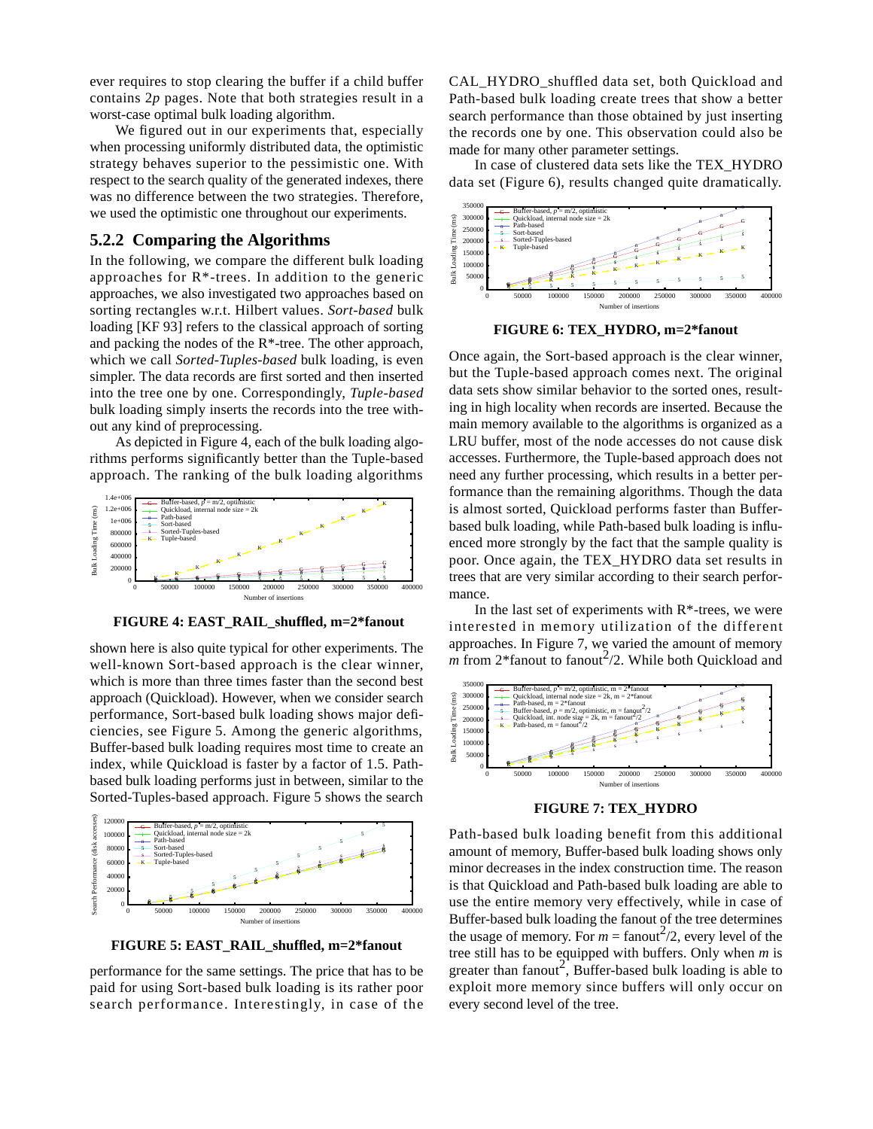ever requires to stop clearing the buffer if a child buffer contains 2*p* pages. Note that both strategies result in a worst-case optimal bulk loading algorithm.

We figured out in our experiments that, especially when processing uniformly distributed data, the optimistic strategy behaves superior to the pessimistic one. With respect to the search quality of the generated indexes, there was no difference between the two strategies. Therefore, we used the optimistic one throughout our experiments.

#### **5.2.2 Comparing the Algorithms**

In the following, we compare the different bulk loading approaches for R\*-trees. In addition to the generic approaches, we also investigated two approaches based on sorting rectangles w.r.t. Hilbert values. *Sort-based* bulk loading [KF 93] refers to the classical approach of sorting and packing the nodes of the R\*-tree. The other approach, which we call *Sorted-Tuples-based* bulk loading, is even simpler. The data records are first sorted and then inserted into the tree one by one. Correspondingly, *Tuple-based* bulk loading simply inserts the records into the tree without any kind of preprocessing.

As depicted in Figure 4, each of the bulk loading algorithms performs significantly better than the Tuple-based approach. The ranking of the bulk loading algorithms



**FIGURE 4: EAST\_RAIL\_shuffled, m=2\*fanout**

shown here is also quite typical for other experiments. The well-known Sort-based approach is the clear winner, which is more than three times faster than the second best approach (Quickload). However, when we consider search performance, Sort-based bulk loading shows major deficiencies, see Figure 5. Among the generic algorithms, Buffer-based bulk loading requires most time to create an index, while Quickload is faster by a factor of 1.5. Pathbased bulk loading performs just in between, similar to the Sorted-Tuples-based approach. Figure 5 shows the search



**FIGURE 5: EAST\_RAIL\_shuffled, m=2\*fanout**

performance for the same settings. The price that has to be paid for using Sort-based bulk loading is its rather poor search performance. Interestingly, in case of the CAL HYDRO shuffled data set, both Quickload and Path-based bulk loading create trees that show a better search performance than those obtained by just inserting the records one by one. This observation could also be made for many other parameter settings.

In case of clustered data sets like the TEX\_HYDRO data set (Figure 6), results changed quite dramatically.



**FIGURE 6: TEX\_HYDRO, m=2\*fanout**

Once again, the Sort-based approach is the clear winner, but the Tuple-based approach comes next. The original data sets show similar behavior to the sorted ones, resulting in high locality when records are inserted. Because the main memory available to the algorithms is organized as a LRU buffer, most of the node accesses do not cause disk accesses. Furthermore, the Tuple-based approach does not need any further processing, which results in a better performance than the remaining algorithms. Though the data is almost sorted, Quickload performs faster than Bufferbased bulk loading, while Path-based bulk loading is influenced more strongly by the fact that the sample quality is poor. Once again, the TEX\_HYDRO data set results in trees that are very similar according to their search performance.

In the last set of experiments with  $R^*$ -trees, we were interested in memory utilization of the different approaches. In Figure 7, we varied the amount of memory  $\overrightarrow{m}$  from 2\*fanout to fanout<sup>2</sup>/2. While both Quickload and



**FIGURE 7: TEX\_HYDRO**

Path-based bulk loading benefit from this additional amount of memory, Buffer-based bulk loading shows only minor decreases in the index construction time. The reason is that Quickload and Path-based bulk loading are able to use the entire memory very effectively, while in case of Buffer-based bulk loading the fanout of the tree determines the usage of memory. For  $m = \text{fanout}^2/2$ , every level of the tree still has to be equipped with buffers. Only when *m* is greater than fanout<sup>2</sup>, Buffer-based bulk loading is able to exploit more memory since buffers will only occur on every second level of the tree.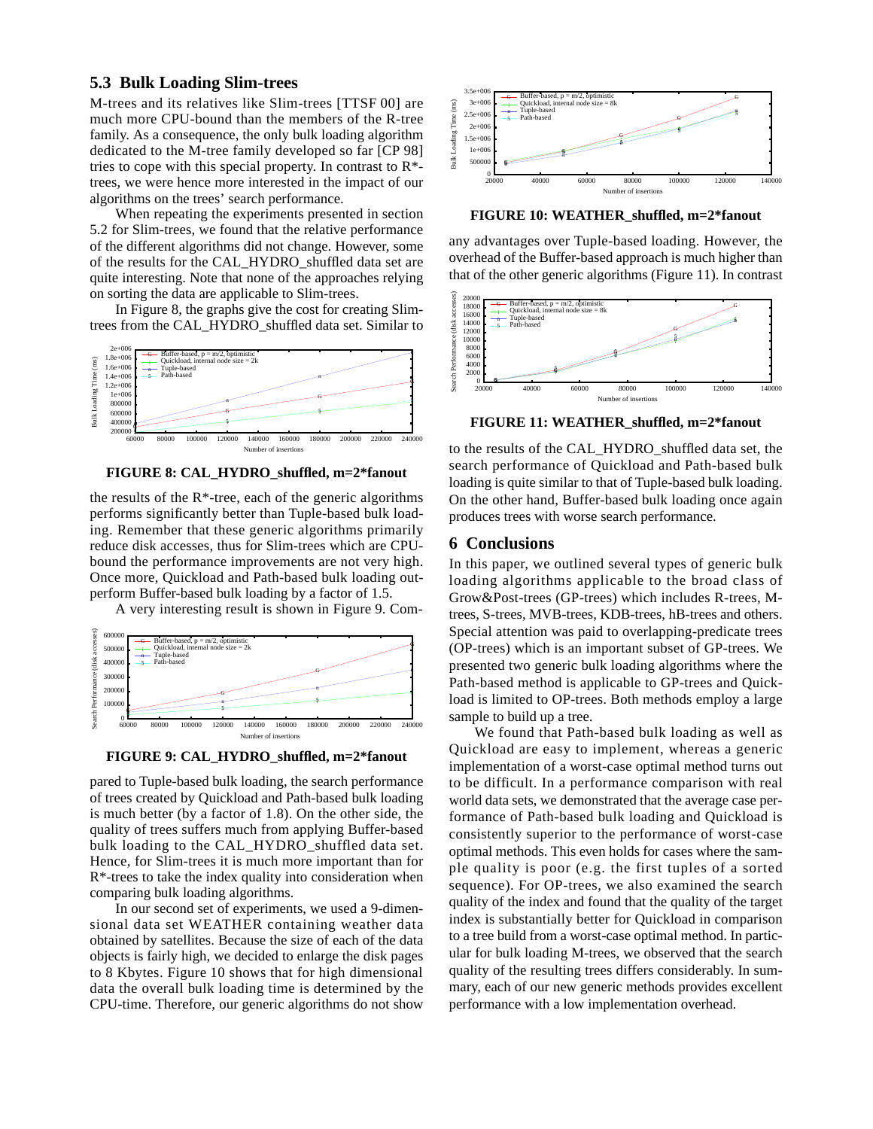## **5.3 Bulk Loading Slim-trees**

M-trees and its relatives like Slim-trees [TTSF 00] are much more CPU-bound than the members of the R-tree family. As a consequence, the only bulk loading algorithm dedicated to the M-tree family developed so far [CP 98] tries to cope with this special property. In contrast to  $\mathbb{R}^*$ trees, we were hence more interested in the impact of our algorithms on the trees' search performance.

When repeating the experiments presented in section 5.2 for Slim-trees, we found that the relative performance of the different algorithms did not change. However, some of the results for the CAL\_HYDRO\_shuffled data set are quite interesting. Note that none of the approaches relying on sorting the data are applicable to Slim-trees.

In Figure 8, the graphs give the cost for creating Slimtrees from the CAL\_HYDRO\_shuffled data set. Similar to



**FIGURE 8: CAL\_HYDRO\_shuffled, m=2\*fanout**

the results of the  $R^*$ -tree, each of the generic algorithms performs significantly better than Tuple-based bulk loading. Remember that these generic algorithms primarily reduce disk accesses, thus for Slim-trees which are CPUbound the performance improvements are not very high. Once more, Quickload and Path-based bulk loading outperform Buffer-based bulk loading by a factor of 1.5.

A very interesting result is shown in Figure 9. Com-



**FIGURE 9: CAL\_HYDRO\_shuffled, m=2\*fanout**

pared to Tuple-based bulk loading, the search performance of trees created by Quickload and Path-based bulk loading is much better (by a factor of 1.8). On the other side, the quality of trees suffers much from applying Buffer-based bulk loading to the CAL\_HYDRO\_shuffled data set. Hence, for Slim-trees it is much more important than for R\*-trees to take the index quality into consideration when comparing bulk loading algorithms.

In our second set of experiments, we used a 9-dimensional data set WEATHER containing weather data obtained by satellites. Because the size of each of the data objects is fairly high, we decided to enlarge the disk pages to 8 Kbytes. Figure 10 shows that for high dimensional data the overall bulk loading time is determined by the CPU-time. Therefore, our generic algorithms do not show



**FIGURE 10: WEATHER\_shuffled, m=2\*fanout**

any advantages over Tuple-based loading. However, the overhead of the Buffer-based approach is much higher than that of the other generic algorithms (Figure 11). In contrast



**FIGURE 11: WEATHER\_shuffled, m=2\*fanout**

to the results of the CAL\_HYDRO\_shuffled data set, the search performance of Quickload and Path-based bulk loading is quite similar to that of Tuple-based bulk loading. On the other hand, Buffer-based bulk loading once again produces trees with worse search performance.

#### **6 Conclusions**

In this paper, we outlined several types of generic bulk loading algorithms applicable to the broad class of Grow&Post-trees (GP-trees) which includes R-trees, Mtrees, S-trees, MVB-trees, KDB-trees, hB-trees and others. Special attention was paid to overlapping-predicate trees (OP-trees) which is an important subset of GP-trees. We presented two generic bulk loading algorithms where the Path-based method is applicable to GP-trees and Quickload is limited to OP-trees. Both methods employ a large sample to build up a tree.

We found that Path-based bulk loading as well as Quickload are easy to implement, whereas a generic implementation of a worst-case optimal method turns out to be difficult. In a performance comparison with real world data sets, we demonstrated that the average case performance of Path-based bulk loading and Quickload is consistently superior to the performance of worst-case optimal methods. This even holds for cases where the sample quality is poor (e.g. the first tuples of a sorted sequence). For OP-trees, we also examined the search quality of the index and found that the quality of the target index is substantially better for Quickload in comparison to a tree build from a worst-case optimal method. In particular for bulk loading M-trees, we observed that the search quality of the resulting trees differs considerably. In summary, each of our new generic methods provides excellent performance with a low implementation overhead.